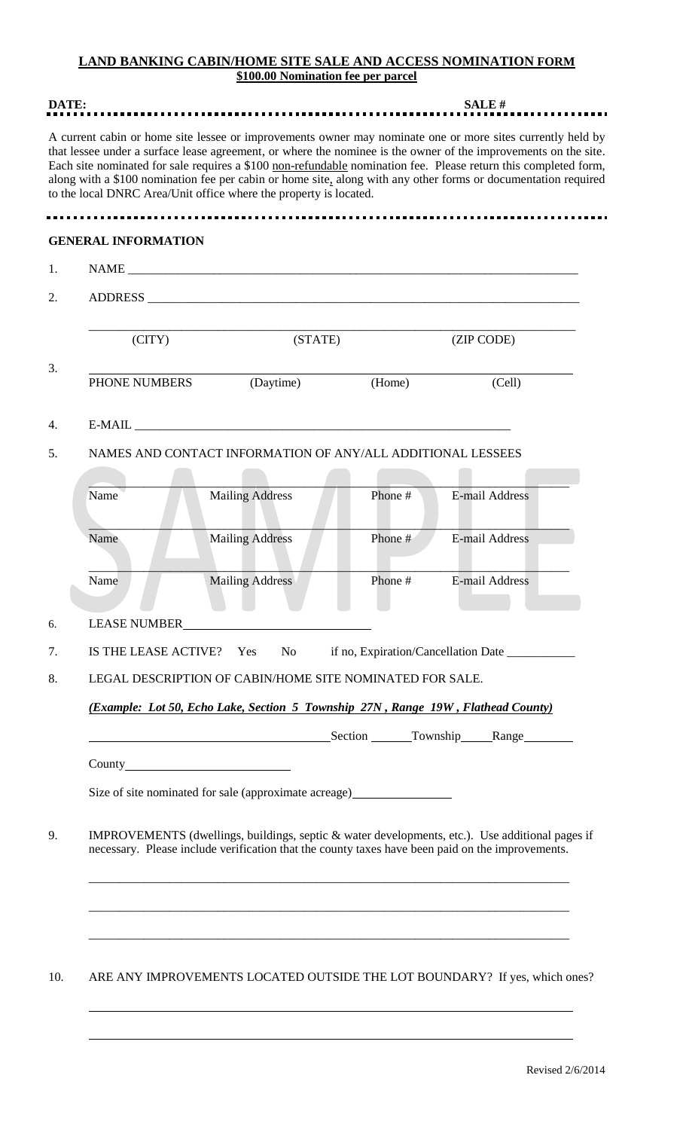## **LAND BANKING CABIN/HOME SITE SALE AND ACCESS NOMINATION FORM \$100.00 Nomination fee per parcel**

| DATE: |                                                                                                                                                                                                     |                                                                                                                                                                                                                                                                                                                                                                                                                                                                                                                                         | <b>SALE#</b> |                        |  |  |
|-------|-----------------------------------------------------------------------------------------------------------------------------------------------------------------------------------------------------|-----------------------------------------------------------------------------------------------------------------------------------------------------------------------------------------------------------------------------------------------------------------------------------------------------------------------------------------------------------------------------------------------------------------------------------------------------------------------------------------------------------------------------------------|--------------|------------------------|--|--|
|       |                                                                                                                                                                                                     | A current cabin or home site lessee or improvements owner may nominate one or more sites currently held by<br>that lessee under a surface lease agreement, or where the nominee is the owner of the improvements on the site.<br>Each site nominated for sale requires a \$100 non-refundable nomination fee. Please return this completed form,<br>along with a \$100 nomination fee per cabin or home site, along with any other forms or documentation required<br>to the local DNRC Area/Unit office where the property is located. |              |                        |  |  |
|       |                                                                                                                                                                                                     |                                                                                                                                                                                                                                                                                                                                                                                                                                                                                                                                         |              |                        |  |  |
|       | <b>GENERAL INFORMATION</b>                                                                                                                                                                          |                                                                                                                                                                                                                                                                                                                                                                                                                                                                                                                                         |              |                        |  |  |
| 1.    |                                                                                                                                                                                                     |                                                                                                                                                                                                                                                                                                                                                                                                                                                                                                                                         |              |                        |  |  |
| 2.    |                                                                                                                                                                                                     |                                                                                                                                                                                                                                                                                                                                                                                                                                                                                                                                         |              |                        |  |  |
|       | (CITY)<br>(STATE)                                                                                                                                                                                   |                                                                                                                                                                                                                                                                                                                                                                                                                                                                                                                                         | (ZIP CODE)   |                        |  |  |
| 3.    | PHONE NUMBERS                                                                                                                                                                                       | (Daytime)                                                                                                                                                                                                                                                                                                                                                                                                                                                                                                                               | (Home)       | (Cell)                 |  |  |
| 4.    |                                                                                                                                                                                                     |                                                                                                                                                                                                                                                                                                                                                                                                                                                                                                                                         |              |                        |  |  |
| 5.    | NAMES AND CONTACT INFORMATION OF ANY/ALL ADDITIONAL LESSEES                                                                                                                                         |                                                                                                                                                                                                                                                                                                                                                                                                                                                                                                                                         |              |                        |  |  |
| Name  |                                                                                                                                                                                                     | <b>Mailing Address</b>                                                                                                                                                                                                                                                                                                                                                                                                                                                                                                                  | Phone #      | <b>E-mail Address</b>  |  |  |
| Name  |                                                                                                                                                                                                     | <b>Mailing Address</b>                                                                                                                                                                                                                                                                                                                                                                                                                                                                                                                  | Phone#       | <b>E-mail Address</b>  |  |  |
| Name  |                                                                                                                                                                                                     | <b>Mailing Address</b>                                                                                                                                                                                                                                                                                                                                                                                                                                                                                                                  | Phone#       | <b>E-mail Address</b>  |  |  |
| 6.    | <b>LEASE NUMBER</b>                                                                                                                                                                                 |                                                                                                                                                                                                                                                                                                                                                                                                                                                                                                                                         |              |                        |  |  |
| 7.    | IS THE LEASE ACTIVE?<br>N <sub>o</sub><br>if no, Expiration/Cancellation Date ___________<br>Yes                                                                                                    |                                                                                                                                                                                                                                                                                                                                                                                                                                                                                                                                         |              |                        |  |  |
| 8.    | LEGAL DESCRIPTION OF CABIN/HOME SITE NOMINATED FOR SALE.                                                                                                                                            |                                                                                                                                                                                                                                                                                                                                                                                                                                                                                                                                         |              |                        |  |  |
|       | (Example: Lot 50, Echo Lake, Section 5 Township 27N, Range 19W, Flathead County)                                                                                                                    |                                                                                                                                                                                                                                                                                                                                                                                                                                                                                                                                         |              |                        |  |  |
|       |                                                                                                                                                                                                     |                                                                                                                                                                                                                                                                                                                                                                                                                                                                                                                                         |              | Section Township Range |  |  |
|       |                                                                                                                                                                                                     |                                                                                                                                                                                                                                                                                                                                                                                                                                                                                                                                         |              |                        |  |  |
|       |                                                                                                                                                                                                     | Size of site nominated for sale (approximate acreage) __________________________                                                                                                                                                                                                                                                                                                                                                                                                                                                        |              |                        |  |  |
| 9.    | IMPROVEMENTS (dwellings, buildings, septic & water developments, etc.). Use additional pages if<br>necessary. Please include verification that the county taxes have been paid on the improvements. |                                                                                                                                                                                                                                                                                                                                                                                                                                                                                                                                         |              |                        |  |  |
| 10.   |                                                                                                                                                                                                     | ARE ANY IMPROVEMENTS LOCATED OUTSIDE THE LOT BOUNDARY? If yes, which ones?                                                                                                                                                                                                                                                                                                                                                                                                                                                              |              |                        |  |  |